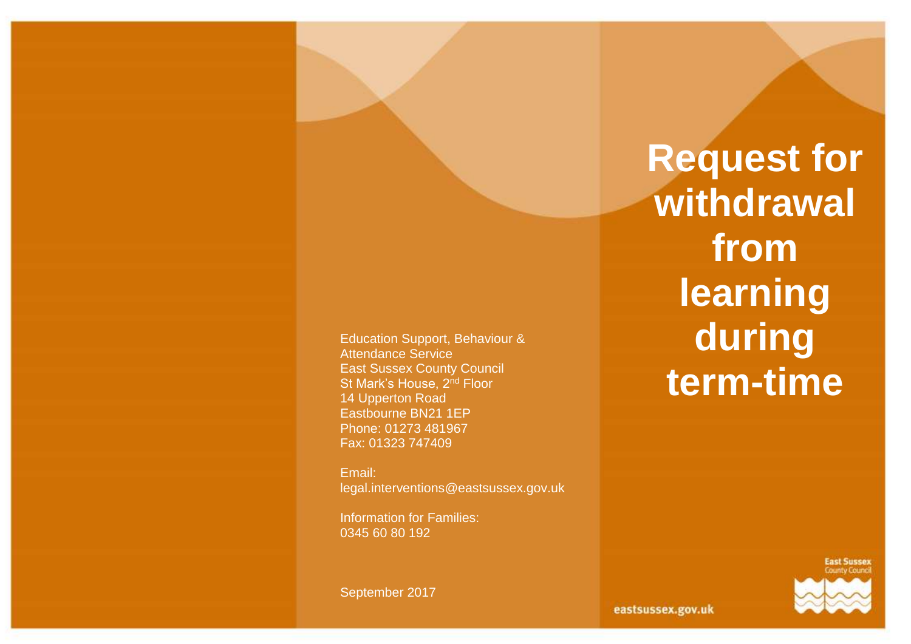Education Support, Behaviour & Attendance Service East Sussex County Council St Mark's House, 2<sup>nd</sup> Floor 14 Upperton Road Eastbourne BN21 1EP Phone: 01273 481967 Fax: 01323 747409

Email: legal.interventions@eastsussex.gov.uk

Information for Families: 0345 60 80 192

September 2017

**Request for withdrawal from learning during term-time**



eastsussex.gov.uk